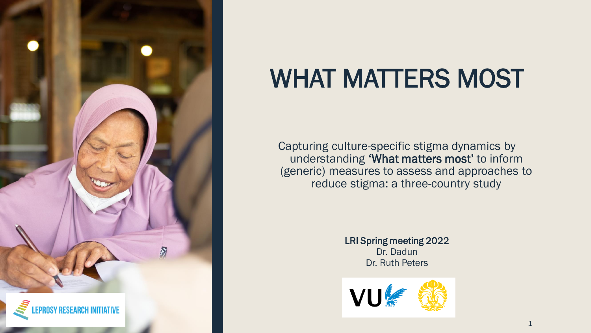

# WHAT MATTERS MOST

Capturing culture-specific stigma dynamics by understanding 'What matters most' to inform (generic) measures to assess and approaches to reduce stigma: a three-country study

> LRI Spring meeting 2022 Dr. Dadun Dr. Ruth Peters

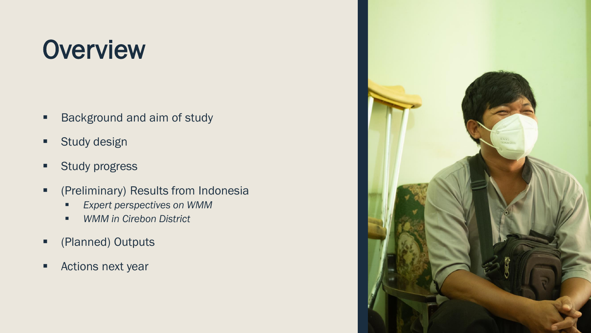# **Overview**

- Background and aim of study
- **■** Study design
- Study progress
- (Preliminary) Results from Indonesia
	- **Expert perspectives on WMM**
	- *WMM in Cirebon District*
- (Planned) Outputs
- **EXECUTE:** Actions next year

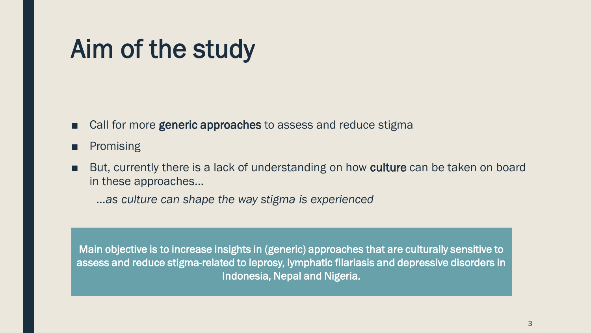### Aim of the study

- Call for more generic approaches to assess and reduce stigma
- Promising
- But, currently there is a lack of understanding on how culture can be taken on board in these approaches…
	- *…as culture can shape the way stigma is experienced*

Main objective is to increase insights in (generic) approaches that are culturally sensitive to assess and reduce stigma-related to leprosy, lymphatic filariasis and depressive disorders in Indonesia, Nepal and Nigeria.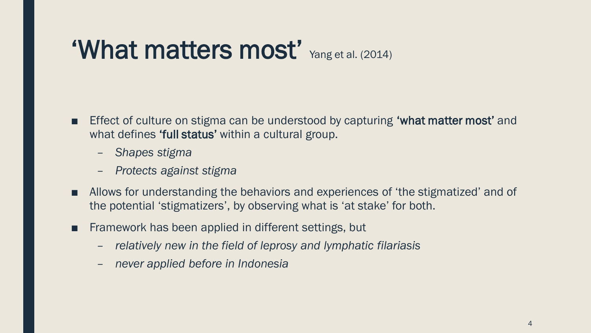### 'What matters most' Yang et al. (2014)

- Effect of culture on stigma can be understood by capturing **'what matter most'** and what defines 'full status' within a cultural group.
	- *Shapes stigma*
	- *Protects against stigma*
- Allows for understanding the behaviors and experiences of 'the stigmatized' and of the potential 'stigmatizers', by observing what is 'at stake' for both.
- Framework has been applied in different settings, but
	- *relatively new in the field of leprosy and lymphatic filariasis*
	- *never applied before in Indonesia*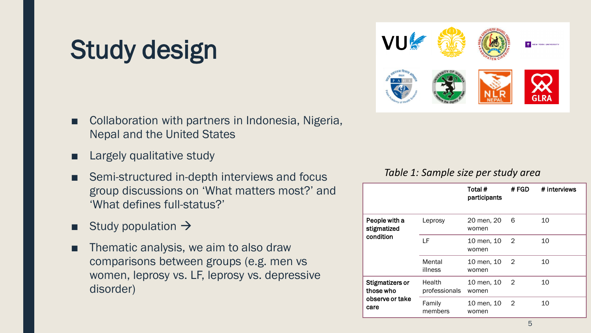## Study design

- Collaboration with partners in Indonesia, Nigeria, Nepal and the United States
- **Largely qualitative study**
- Semi-structured in-depth interviews and focus group discussions on 'What matters most?' and 'What defines full-status?'
- Study population  $\rightarrow$
- Thematic analysis, we aim to also draw comparisons between groups (e.g. men vs women, leprosy vs. LF, leprosy vs. depressive disorder)



#### *Table 1: Sample size per study area*

|                                                                |                         | Total #<br>participants | #FGD | # interviews |
|----------------------------------------------------------------|-------------------------|-------------------------|------|--------------|
| People with a<br>stigmatized                                   | Leprosy                 | 20 men, 20<br>women     | 6    | 10           |
| condition                                                      | LF                      | 10 men, 10<br>women     | 2    | 10           |
|                                                                | Mental<br>illness       | 10 men, 10<br>women     | 2    | 10           |
| <b>Stigmatizers or</b><br>those who<br>observe or take<br>care | Health<br>professionals | 10 men, 10<br>women     | 2    | 10           |
|                                                                | Family<br>members       | 10 men, 10<br>women     | 2    | 10           |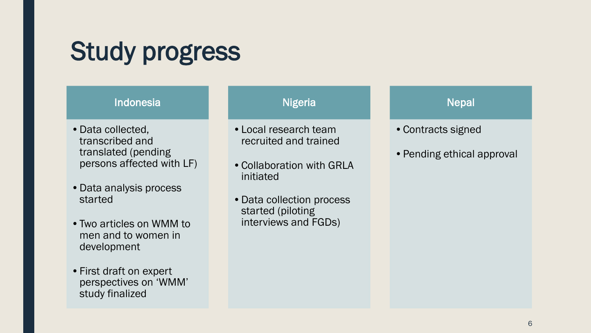# Study progress

### Indonesia

- •Data collected, transcribed and translated (pending persons affected with LF)
- •Data analysis process started
- •Two articles on WMM to men and to women in development
- •First draft on expert perspectives on 'WMM' study finalized

### Nigeria

- •Local research team recruited and trained
- •Collaboration with GRLA initiated
- •Data collection process started (piloting interviews and FGDs)

### **Nepal**

- •Contracts signed
- Pending ethical approval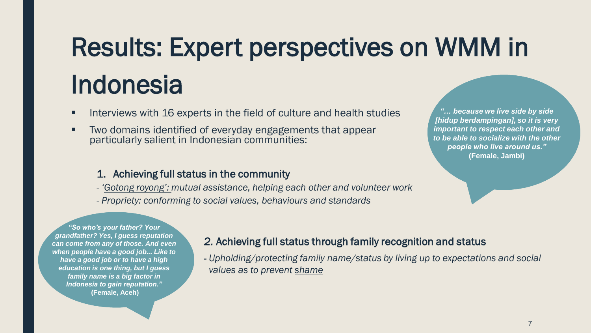# Results: Expert perspectives on WMM in Indonesia

- Interviews with 16 experts in the field of culture and health studies
- **Two domains identified of everyday engagements that appear** particularly salient in Indonesian communities:

### 1. Achieving full status in the community

- *- 'Gotong royong': mutual assistance, helping each other and volunteer work*
- *- Propriety: conforming to social values, behaviours and standards*

*"… because we live side by side [hidup berdampingan], so it is very important to respect each other and to be able to socialize with the other people who live around us."* **(Female, Jambi)**

*"So who's your father? Your grandfather? Yes, I guess reputation can come from any of those. And even when people have a good job... Like to have a good job or to have a high education is one thing, but I guess family name is a big factor in Indonesia to gain reputation."*  **(Female, Aceh)**

### *2.* Achieving full status through family recognition and status

*- Upholding/protecting family name/status by living up to expectations and social values as to prevent shame*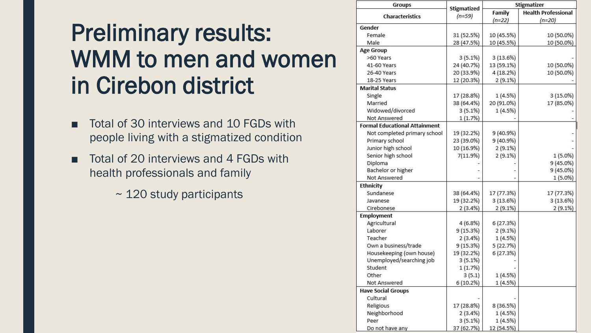### Preliminary results: WMM to men and women in Cirebon district

- Total of 30 interviews and 10 FGDs with people living with a stigmatized condition
- Total of 20 interviews and 4 FGDs with health professionals and family
	- ~ 120 study participants

| Groups                               | Stigmatized | Stigmatizer |                            |
|--------------------------------------|-------------|-------------|----------------------------|
| Characteristics                      | $(n=59)$    | Family      | <b>Health Professional</b> |
|                                      |             | $(n=22)$    | $(n=20)$                   |
| Gender                               |             |             |                            |
| Female                               | 31 (52.5%)  | 10 (45.5%)  | 10 (50.0%)                 |
| Male                                 | 28 (47.5%)  | 10 (45.5%)  | 10 (50.0%)                 |
| <b>Age Group</b>                     |             |             |                            |
| >60 Years                            | 3(5.1%)     | 3 (13.6%)   |                            |
| 41-60 Years                          | 24 (40.7%)  | 13 (59.1%)  | 10 (50.0%)                 |
| 26-40 Years                          | 20 (33.9%)  | 4 (18.2%)   | 10 (50.0%)                 |
| 18-25 Years                          | 12 (20.3%)  | 2(9.1%)     |                            |
| <b>Marital Status</b>                |             |             |                            |
| Single                               | 17 (28.8%)  | 1(4.5%)     | 3 (15.0%)                  |
| Married                              | 38 (64.4%)  | 20 (91.0%)  | 17 (85.0%)                 |
| Widowed/divorced                     | 3(5.1%)     | 1(4.5%)     |                            |
| Not Answered                         | 1(1.7%)     |             |                            |
| <b>Formal Educational Attainment</b> |             |             |                            |
| Not completed primary school         | 19 (32.2%)  | 9 (40.9%)   |                            |
| Primary school                       | 23 (39.0%)  | 9 (40.9%)   |                            |
| Junior high school                   | 10 (16.9%)  | $2(9.1\%)$  |                            |
| Senior high school                   | 7(11.9%)    | $2(9.1\%)$  | $1(5.0\%)$                 |
| Diploma                              |             |             | 9(45.0%)                   |
| Bachelor or higher                   |             |             | 9 (45.0%)                  |
| Not Answered                         |             |             | $1(5.0\%)$                 |
| <b>Ethnicity</b>                     |             |             |                            |
| Sundanese                            | 38 (64.4%)  | 17 (77.3%)  | 17 (77.3%)                 |
| Javanese                             | 19 (32.2%)  | 3 (13.6%)   | 3(13.6%)                   |
| Cirebonese                           | 2(3.4%)     | $2(9.1\%)$  | 2(9.1%)                    |
| <b>Employment</b>                    |             |             |                            |
| Agricultural                         | 4(6.8%)     | 6 (27.3%)   |                            |
| Laborer                              | 9 (15.3%)   | $2(9.1\%)$  |                            |
| Teacher                              | 2(3.4%)     | 1(4.5%)     |                            |
| Own a business/trade                 | 9 (15.3%)   | 5(22.7%)    |                            |
| Housekeeping (own house)             | 19 (32.2%)  | 6(27.3%)    |                            |
| Unemployed/searching job             | 3(5.1%)     |             |                            |
| Student                              | 1(1.7%)     |             |                            |
| Other                                | 3(5.1)      | 1(4.5%)     |                            |
| Not Answered                         | 6 (10.2%)   | 1(4.5%)     |                            |
| <b>Have Social Groups</b>            |             |             |                            |
| Cultural                             |             |             |                            |
| Religious                            | 17 (28.8%)  | 8 (36.5%)   |                            |
| Neighborhood                         | 2(3.4%)     | 1(4.5%)     |                            |
| Peer                                 | 3(5.1%)     | 1(4.5%)     |                            |
| Do not have any                      | 37 (62.7%)  | 12 (54.5%)  |                            |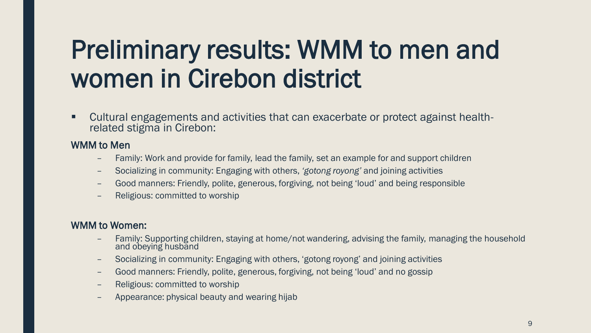# Preliminary results: WMM to men and women in Cirebon district

▪ Cultural engagements and activities that can exacerbate or protect against healthrelated stigma in Cirebon:

#### WMM to Men

- Family: Work and provide for family, lead the family, set an example for and support children
- Socializing in community: Engaging with others, *'gotong royong'* and joining activities
- Good manners: Friendly, polite, generous, forgiving, not being 'loud' and being responsible
- Religious: committed to worship

#### WMM to Women:

- Family: Supporting children, staying at home/not wandering, advising the family, managing the household and obeying husband
- Socializing in community: Engaging with others, 'gotong royong' and joining activities
- Good manners: Friendly, polite, generous, forgiving, not being 'loud' and no gossip
- Religious: committed to worship
- Appearance: physical beauty and wearing hijab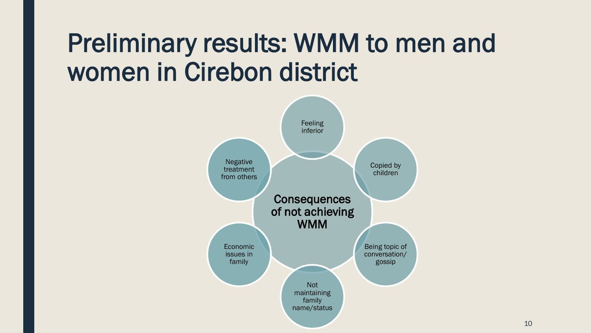# Preliminary results: WMM to men and women in Cirebon district

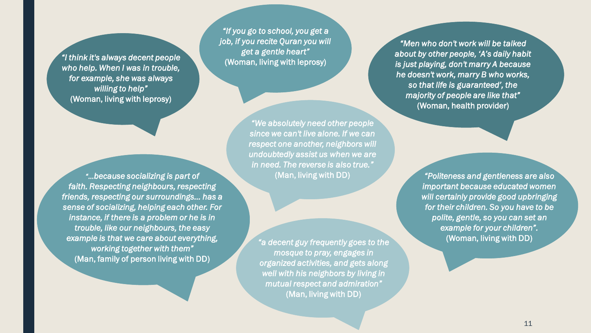*"I think it's always decent people who help. When I was in trouble, for example, she was always willing to help"* (Woman, living with leprosy)

*"…because socializing is part of faith. Respecting neighbours, respecting friends, respecting our surroundings… has a sense of socializing, helping each other. For instance, if there is a problem or he is in trouble, like our neighbours, the easy example is that we care about everything, working together with them"* (Man, family of person living with DD)

*"If you go to school, you get a job, if you recite Quran you will get a gentle heart"* (Woman, living with leprosy)

> *"We absolutely need other people since we can't live alone. If we can respect one another, neighbors will undoubtedly assist us when we are in need. The reverse is also true."* (Man, living with DD)

*"a decent guy frequently goes to the mosque to pray, engages in organized activities, and gets along well with his neighbors by living in mutual respect and admiration"* (Man, living with DD)

*"Men who don't work will be talked about by other people, 'A's daily habit is just playing, don't marry A because he doesn't work, marry B who works, so that life is guaranteed', the majority of people are like that"* (Woman, health provider)

> *"Politeness and gentleness are also important because educated women will certainly provide good upbringing for their children. So you have to be polite, gentle, so you can set an example for your children".* (Woman, living with DD)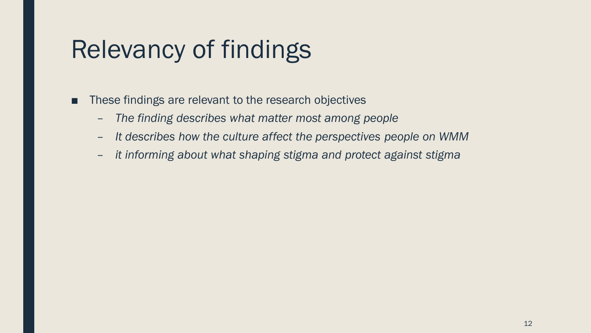### Relevancy of findings

- These findings are relevant to the research objectives
	- *The finding describes what matter most among people*
	- *It describes how the culture affect the perspectives people on WMM*
	- *it informing about what shaping stigma and protect against stigma*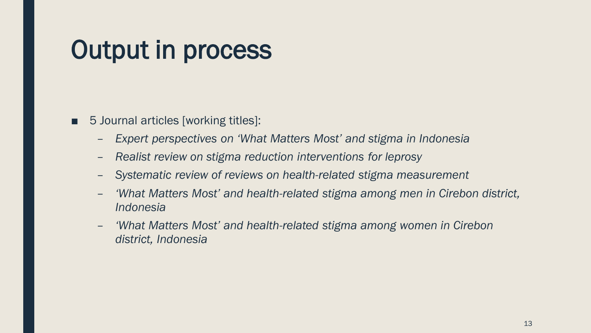### Output in process

- 5 Journal articles [working titles]:
	- *Expert perspectives on 'What Matters Most' and stigma in Indonesia*
	- *Realist review on stigma reduction interventions for leprosy*
	- *Systematic review of reviews on health-related stigma measurement*
	- *'What Matters Most' and health-related stigma among men in Cirebon district, Indonesia*
	- *'What Matters Most' and health-related stigma among women in Cirebon district, Indonesia*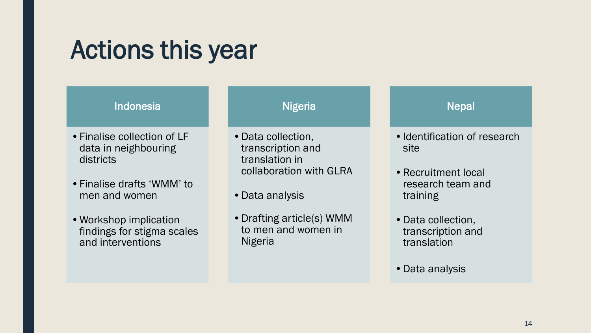### Actions this year

#### Indonesia

- •Finalise collection of LF data in neighbouring districts
- •Finalise drafts 'WMM' to men and women
- •Workshop implication findings for stigma scales and interventions

#### Nigeria

- •Data collection, transcription and translation in collaboration with GLRA
- •Data analysis
- •Drafting article(s) WMM to men and women in Nigeria

#### **Nepal**

- Identification of research site
- •Recruitment local research team and training
- •Data collection, transcription and translation
- •Data analysis